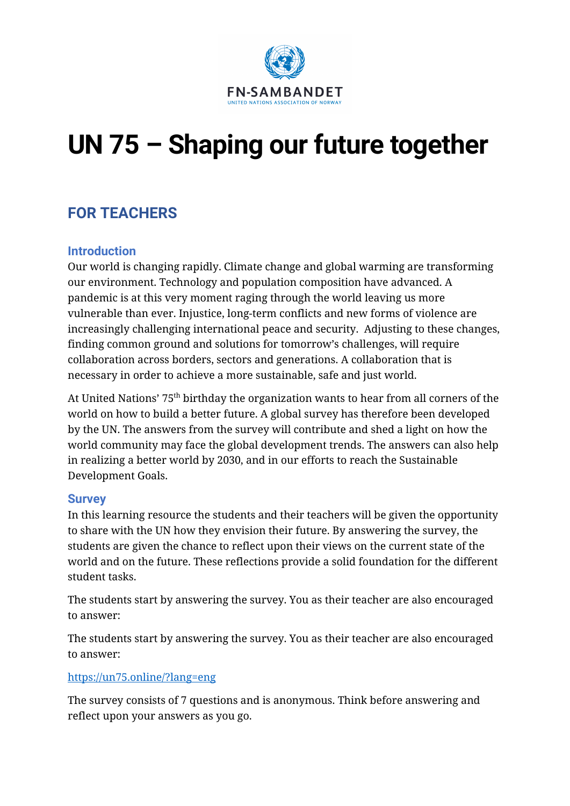

# **UN 75 – Shaping our future together**

## **FOR TEACHERS**

### **Introduction**

Our world is changing rapidly. Climate change and global warming are transforming our environment. Technology and population composition have advanced. A pandemic is at this very moment raging through the world leaving us more vulnerable than ever. Injustice, long-term conflicts and new forms of violence are increasingly challenging international peace and security. Adjusting to these changes, finding common ground and solutions for tomorrow's challenges, will require collaboration across borders, sectors and generations. A collaboration that is necessary in order to achieve a more sustainable, safe and just world.

At United Nations' 75th birthday the organization wants to hear from all corners of the world on how to build a better future. A global survey has therefore been developed by the UN. The answers from the survey will contribute and shed a light on how the world community may face the global development trends. The answers can also help in realizing a better world by 2030, and in our efforts to reach the Sustainable Development Goals.

#### **Survey**

In this learning resource the students and their teachers will be given the opportunity to share with the UN how they envision their future. By answering the survey, the students are given the chance to reflect upon their views on the current state of the world and on the future. These reflections provide a solid foundation for the different student tasks.

The students start by answering the survey. You as their teacher are also encouraged to answer:

The students start by answering the survey. You as their teacher are also encouraged to answer:

#### <https://un75.online/?lang=eng>

The survey consists of 7 questions and is anonymous. Think before answering and reflect upon your answers as you go.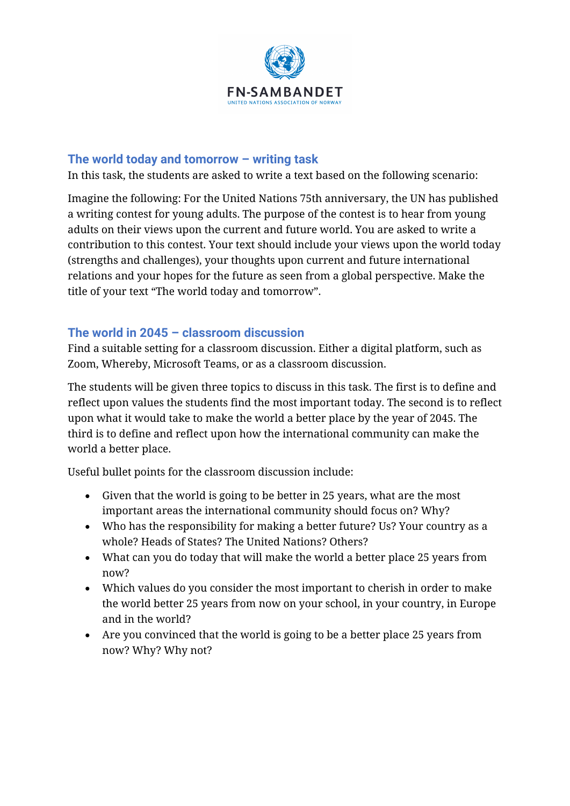

### **The world today and tomorrow – writing task**

In this task, the students are asked to write a text based on the following scenario:

Imagine the following: For the United Nations 75th anniversary, the UN has published a writing contest for young adults. The purpose of the contest is to hear from young adults on their views upon the current and future world. You are asked to write a contribution to this contest. Your text should include your views upon the world today (strengths and challenges), your thoughts upon current and future international relations and your hopes for the future as seen from a global perspective. Make the title of your text "The world today and tomorrow".

### **The world in 2045 – classroom discussion**

Find a suitable setting for a classroom discussion. Either a digital platform, such as Zoom, Whereby, Microsoft Teams, or as a classroom discussion.

The students will be given three topics to discuss in this task. The first is to define and reflect upon values the students find the most important today. The second is to reflect upon what it would take to make the world a better place by the year of 2045. The third is to define and reflect upon how the international community can make the world a better place.

Useful bullet points for the classroom discussion include:

- Given that the world is going to be better in 25 years, what are the most important areas the international community should focus on? Why?
- Who has the responsibility for making a better future? Us? Your country as a whole? Heads of States? The United Nations? Others?
- What can you do today that will make the world a better place 25 years from now?
- Which values do you consider the most important to cherish in order to make the world better 25 years from now on your school, in your country, in Europe and in the world?
- Are you convinced that the world is going to be a better place 25 years from now? Why? Why not?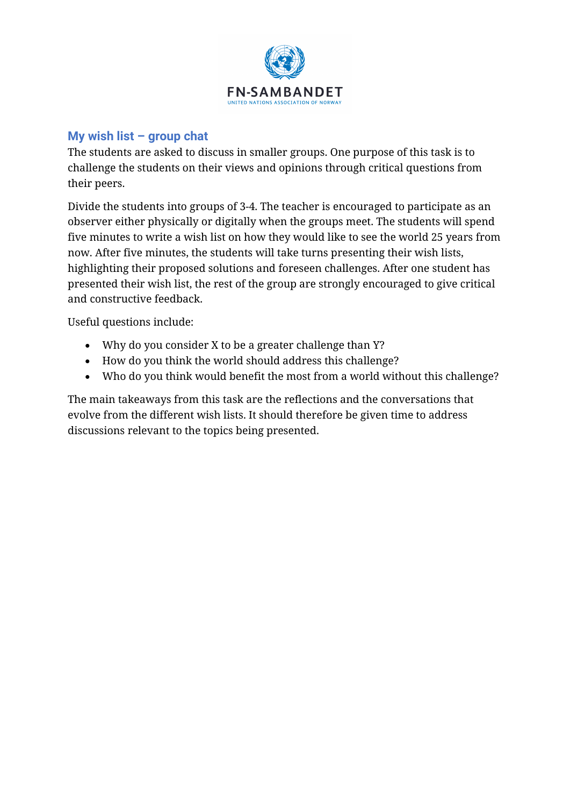

#### **My wish list – group chat**

The students are asked to discuss in smaller groups. One purpose of this task is to challenge the students on their views and opinions through critical questions from their peers.

Divide the students into groups of 3-4. The teacher is encouraged to participate as an observer either physically or digitally when the groups meet. The students will spend five minutes to write a wish list on how they would like to see the world 25 years from now. After five minutes, the students will take turns presenting their wish lists, highlighting their proposed solutions and foreseen challenges. After one student has presented their wish list, the rest of the group are strongly encouraged to give critical and constructive feedback.

Useful questions include:

- Why do you consider X to be a greater challenge than Y?
- How do you think the world should address this challenge?
- Who do you think would benefit the most from a world without this challenge?

The main takeaways from this task are the reflections and the conversations that evolve from the different wish lists. It should therefore be given time to address discussions relevant to the topics being presented.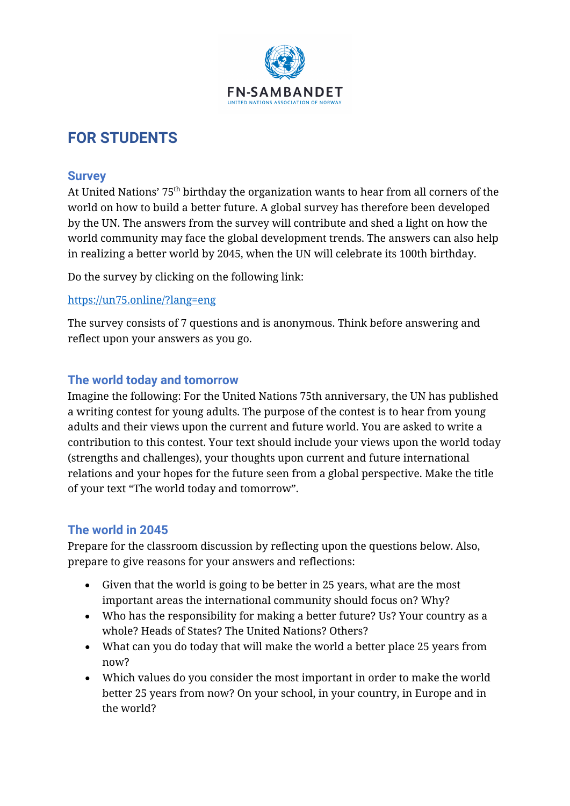

## **FOR STUDENTS**

#### **Survey**

At United Nations' 75<sup>th</sup> birthday the organization wants to hear from all corners of the world on how to build a better future. A global survey has therefore been developed by the UN. The answers from the survey will contribute and shed a light on how the world community may face the global development trends. The answers can also help in realizing a better world by 2045, when the UN will celebrate its 100th birthday.

Do the survey by clicking on the following link:

#### <https://un75.online/?lang=eng>

The survey consists of 7 questions and is anonymous. Think before answering and reflect upon your answers as you go.

### **The world today and tomorrow**

Imagine the following: For the United Nations 75th anniversary, the UN has published a writing contest for young adults. The purpose of the contest is to hear from young adults and their views upon the current and future world. You are asked to write a contribution to this contest. Your text should include your views upon the world today (strengths and challenges), your thoughts upon current and future international relations and your hopes for the future seen from a global perspective. Make the title of your text "The world today and tomorrow".

### **The world in 2045**

Prepare for the classroom discussion by reflecting upon the questions below. Also, prepare to give reasons for your answers and reflections:

- Given that the world is going to be better in 25 years, what are the most important areas the international community should focus on? Why?
- Who has the responsibility for making a better future? Us? Your country as a whole? Heads of States? The United Nations? Others?
- What can you do today that will make the world a better place 25 years from now?
- Which values do you consider the most important in order to make the world better 25 years from now? On your school, in your country, in Europe and in the world?